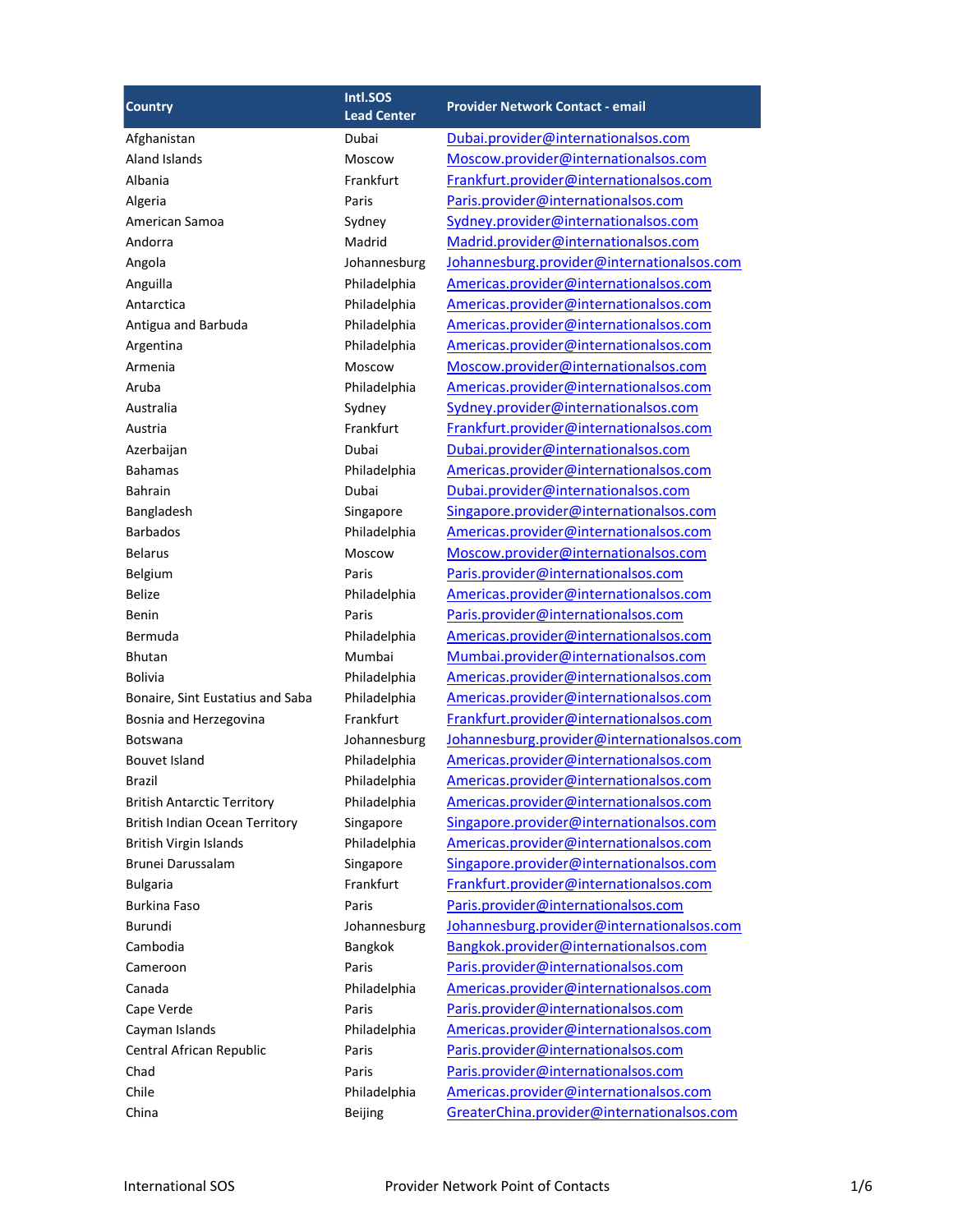| <b>Country</b>                     | Intl.SOS<br><b>Lead Center</b> | <b>Provider Network Contact - email</b>    |
|------------------------------------|--------------------------------|--------------------------------------------|
| Afghanistan                        | Dubai                          | Dubai.provider@internationalsos.com        |
| Aland Islands                      | Moscow                         | Moscow.provider@internationalsos.com       |
| Albania                            | Frankfurt                      | Frankfurt.provider@internationalsos.com    |
| Algeria                            | Paris                          | Paris.provider@internationalsos.com        |
| American Samoa                     | Sydney                         | Sydney.provider@internationalsos.com       |
| Andorra                            | Madrid                         | Madrid.provider@internationalsos.com       |
| Angola                             | Johannesburg                   | Johannesburg.provider@internationalsos.com |
| Anguilla                           | Philadelphia                   | Americas.provider@internationalsos.com     |
| Antarctica                         | Philadelphia                   | Americas.provider@internationalsos.com     |
| Antigua and Barbuda                | Philadelphia                   | Americas.provider@internationalsos.com     |
| Argentina                          | Philadelphia                   | Americas.provider@internationalsos.com     |
| Armenia                            | Moscow                         | Moscow.provider@internationalsos.com       |
| Aruba                              | Philadelphia                   | Americas.provider@internationalsos.com     |
| Australia                          | Sydney                         | Sydney.provider@internationalsos.com       |
| Austria                            | Frankfurt                      | Frankfurt.provider@internationalsos.com    |
| Azerbaijan                         | Dubai                          | Dubai.provider@internationalsos.com        |
| <b>Bahamas</b>                     | Philadelphia                   | Americas.provider@internationalsos.com     |
| <b>Bahrain</b>                     | Dubai                          | Dubai.provider@internationalsos.com        |
| Bangladesh                         | Singapore                      | Singapore.provider@internationalsos.com    |
| <b>Barbados</b>                    | Philadelphia                   | Americas.provider@internationalsos.com     |
| <b>Belarus</b>                     | Moscow                         | Moscow.provider@internationalsos.com       |
| Belgium                            | Paris                          | Paris.provider@internationalsos.com        |
| <b>Belize</b>                      | Philadelphia                   | Americas.provider@internationalsos.com     |
| Benin                              | Paris                          | Paris.provider@internationalsos.com        |
| Bermuda                            | Philadelphia                   | Americas.provider@internationalsos.com     |
| <b>Bhutan</b>                      | Mumbai                         | Mumbai.provider@internationalsos.com       |
| <b>Bolivia</b>                     | Philadelphia                   | Americas.provider@internationalsos.com     |
| Bonaire, Sint Eustatius and Saba   | Philadelphia                   | Americas.provider@internationalsos.com     |
| Bosnia and Herzegovina             | Frankfurt                      | Frankfurt.provider@internationalsos.com    |
| <b>Botswana</b>                    | Johannesburg                   | Johannesburg.provider@internationalsos.com |
| Bouvet Island                      | Philadelphia                   | Americas.provider@internationalsos.com     |
| Brazil                             | Philadelphia                   | Americas.provider@internationalsos.com     |
| <b>British Antarctic Territory</b> | Philadelphia                   | Americas.provider@internationalsos.com     |
| British Indian Ocean Territory     | Singapore                      | Singapore.provider@internationalsos.com    |
| British Virgin Islands             | Philadelphia                   | Americas.provider@internationalsos.com     |
| Brunei Darussalam                  | Singapore                      | Singapore.provider@internationalsos.com    |
| <b>Bulgaria</b>                    | Frankfurt                      | Frankfurt.provider@internationalsos.com    |
| <b>Burkina Faso</b>                | Paris                          | Paris.provider@internationalsos.com        |
| Burundi                            | Johannesburg                   | Johannesburg.provider@internationalsos.com |
| Cambodia                           | Bangkok                        | Bangkok.provider@internationalsos.com      |
| Cameroon                           | Paris                          | Paris.provider@internationalsos.com        |
| Canada                             | Philadelphia                   | Americas.provider@internationalsos.com     |
| Cape Verde                         | Paris                          | Paris.provider@internationalsos.com        |
| Cayman Islands                     | Philadelphia                   | Americas.provider@internationalsos.com     |
| Central African Republic           | Paris                          | Paris.provider@internationalsos.com        |
| Chad                               | Paris                          | Paris.provider@internationalsos.com        |
| Chile                              | Philadelphia                   | Americas.provider@internationalsos.com     |
| China                              | Beijing                        | GreaterChina.provider@internationalsos.com |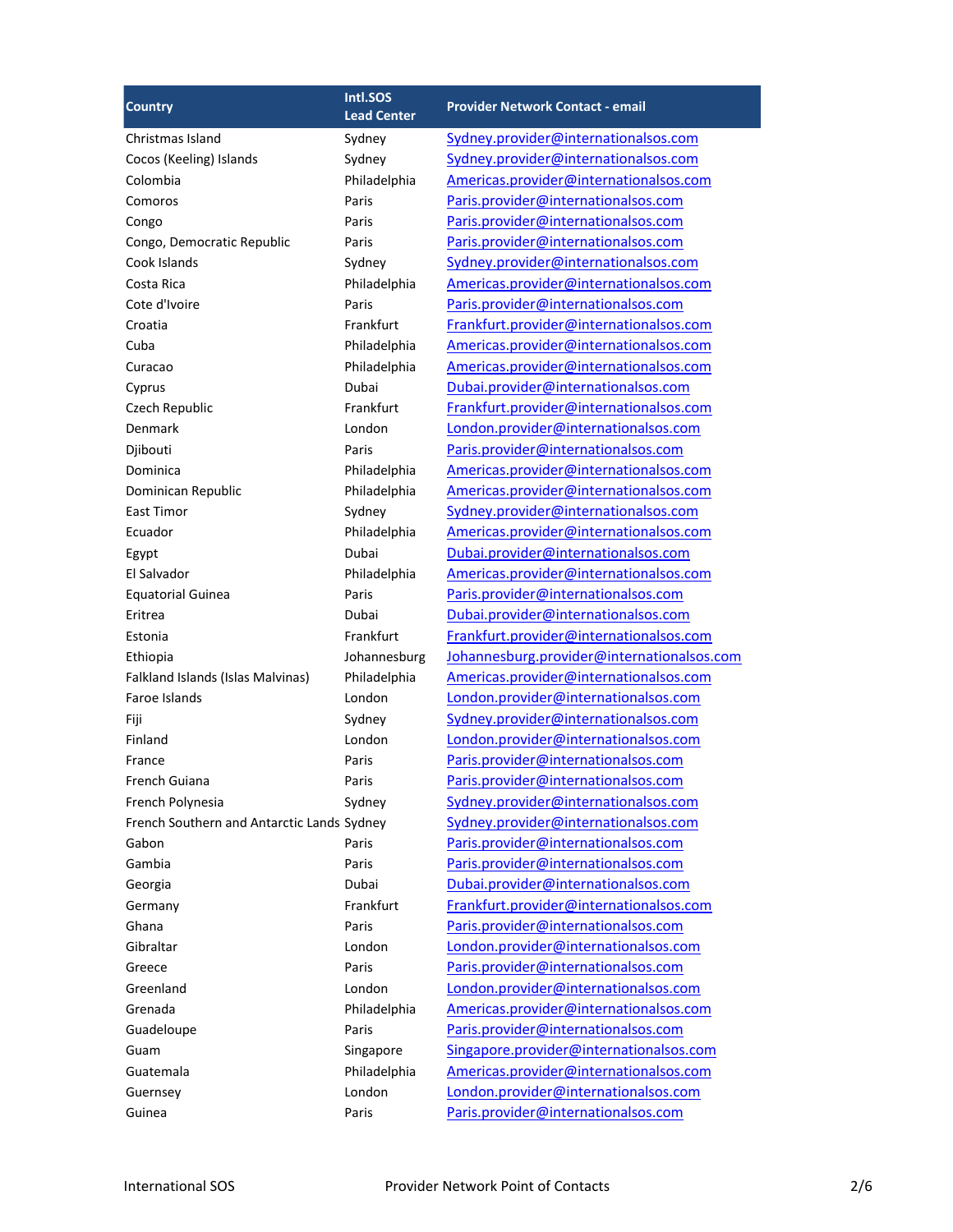| <b>Country</b>                             | Intl.SOS           | <b>Provider Network Contact - email</b>    |
|--------------------------------------------|--------------------|--------------------------------------------|
|                                            | <b>Lead Center</b> |                                            |
| Christmas Island                           | Sydney             | Sydney.provider@internationalsos.com       |
| Cocos (Keeling) Islands                    | Sydney             | Sydney.provider@internationalsos.com       |
| Colombia                                   | Philadelphia       | Americas.provider@internationalsos.com     |
| Comoros                                    | Paris              | Paris.provider@internationalsos.com        |
| Congo                                      | Paris              | Paris.provider@internationalsos.com        |
| Congo, Democratic Republic                 | Paris              | Paris.provider@internationalsos.com        |
| Cook Islands                               | Sydney             | Sydney.provider@internationalsos.com       |
| Costa Rica                                 | Philadelphia       | Americas.provider@internationalsos.com     |
| Cote d'Ivoire                              | Paris              | Paris.provider@internationalsos.com        |
| Croatia                                    | Frankfurt          | Frankfurt.provider@internationalsos.com    |
| Cuba                                       | Philadelphia       | Americas.provider@internationalsos.com     |
| Curacao                                    | Philadelphia       | Americas.provider@internationalsos.com     |
| Cyprus                                     | Dubai              | Dubai.provider@internationalsos.com        |
| Czech Republic                             | Frankfurt          | Frankfurt.provider@internationalsos.com    |
| Denmark                                    | London             | London.provider@internationalsos.com       |
| Djibouti                                   | Paris              | Paris.provider@internationalsos.com        |
| Dominica                                   | Philadelphia       | Americas.provider@internationalsos.com     |
| Dominican Republic                         | Philadelphia       | Americas.provider@internationalsos.com     |
| <b>East Timor</b>                          | Sydney             | Sydney.provider@internationalsos.com       |
| Ecuador                                    | Philadelphia       | Americas.provider@internationalsos.com     |
| Egypt                                      | Dubai              | Dubai.provider@internationalsos.com        |
| El Salvador                                | Philadelphia       | Americas.provider@internationalsos.com     |
| <b>Equatorial Guinea</b>                   | Paris              | Paris.provider@internationalsos.com        |
| Eritrea                                    | Dubai              | Dubai.provider@internationalsos.com        |
| Estonia                                    | Frankfurt          | Frankfurt.provider@internationalsos.com    |
| Ethiopia                                   | Johannesburg       | Johannesburg.provider@internationalsos.com |
| Falkland Islands (Islas Malvinas)          | Philadelphia       | Americas.provider@internationalsos.com     |
| Faroe Islands                              | London             | London.provider@internationalsos.com       |
| Fiji                                       | Sydney             | Sydney.provider@internationalsos.com       |
| Finland                                    | London             | London.provider@internationalsos.com       |
| France                                     | Paris              | Paris.provider@internationalsos.com        |
| French Guiana                              | Paris              | Paris.provider@internationalsos.com        |
| French Polynesia                           | Sydney             | Sydney.provider@internationalsos.com       |
| French Southern and Antarctic Lands Sydney |                    | Sydney.provider@internationalsos.com       |
| Gabon                                      | Paris              | Paris.provider@internationalsos.com        |
| Gambia                                     | Paris              | Paris.provider@internationalsos.com        |
| Georgia                                    | Dubai              | Dubai.provider@internationalsos.com        |
| Germany                                    | Frankfurt          | Frankfurt.provider@internationalsos.com    |
| Ghana                                      | Paris              | Paris.provider@internationalsos.com        |
| Gibraltar                                  | London             | London.provider@internationalsos.com       |
| Greece                                     | Paris              | Paris.provider@internationalsos.com        |
| Greenland                                  | London             | London.provider@internationalsos.com       |
| Grenada                                    | Philadelphia       | Americas.provider@internationalsos.com     |
| Guadeloupe                                 | Paris              | Paris.provider@internationalsos.com        |
| Guam                                       | Singapore          | Singapore.provider@internationalsos.com    |
| Guatemala                                  | Philadelphia       | Americas.provider@internationalsos.com     |
| Guernsey                                   | London             | London.provider@internationalsos.com       |
| Guinea                                     | Paris              | Paris.provider@internationalsos.com        |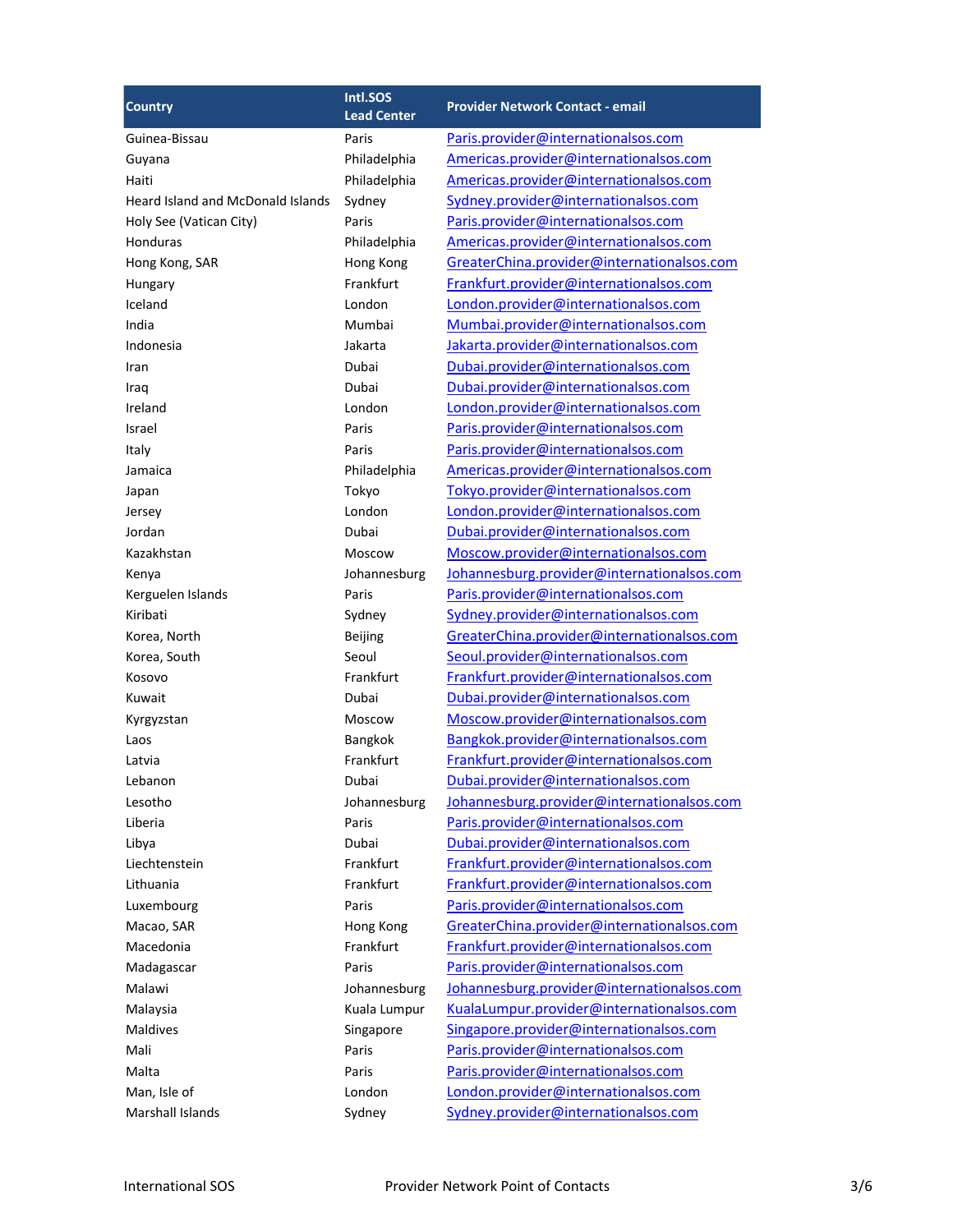| <b>Country</b>                           | Intl.SOS           | <b>Provider Network Contact - email</b>    |
|------------------------------------------|--------------------|--------------------------------------------|
|                                          | <b>Lead Center</b> |                                            |
| Guinea-Bissau                            | Paris              | Paris.provider@internationalsos.com        |
| Guyana                                   | Philadelphia       | Americas.provider@internationalsos.com     |
| Haiti                                    | Philadelphia       | Americas.provider@internationalsos.com     |
| <b>Heard Island and McDonald Islands</b> | Sydney             | Sydney.provider@internationalsos.com       |
| Holy See (Vatican City)                  | Paris              | Paris.provider@internationalsos.com        |
| Honduras                                 | Philadelphia       | Americas.provider@internationalsos.com     |
| Hong Kong, SAR                           | Hong Kong          | GreaterChina.provider@internationalsos.com |
| Hungary                                  | Frankfurt          | Frankfurt.provider@internationalsos.com    |
| Iceland                                  | London             | London.provider@internationalsos.com       |
| India                                    | Mumbai             | Mumbai.provider@internationalsos.com       |
| Indonesia                                | Jakarta            | Jakarta.provider@internationalsos.com      |
| Iran                                     | Dubai              | Dubai.provider@internationalsos.com        |
| Iraq                                     | Dubai              | Dubai.provider@internationalsos.com        |
| Ireland                                  | London             | London.provider@internationalsos.com       |
| Israel                                   | Paris              | Paris.provider@internationalsos.com        |
| Italy                                    | Paris              | Paris.provider@internationalsos.com        |
| Jamaica                                  | Philadelphia       | Americas.provider@internationalsos.com     |
| Japan                                    | Tokyo              | Tokyo.provider@internationalsos.com        |
| Jersey                                   | London             | London.provider@internationalsos.com       |
| Jordan                                   | Dubai              | Dubai.provider@internationalsos.com        |
| Kazakhstan                               | Moscow             | Moscow.provider@internationalsos.com       |
| Kenya                                    | Johannesburg       | Johannesburg.provider@internationalsos.com |
| Kerguelen Islands                        | Paris              | Paris.provider@internationalsos.com        |
| Kiribati                                 | Sydney             | Sydney.provider@internationalsos.com       |
| Korea, North                             | Beijing            | GreaterChina.provider@internationalsos.com |
| Korea, South                             | Seoul              | Seoul.provider@internationalsos.com        |
| Kosovo                                   | Frankfurt          | Frankfurt.provider@internationalsos.com    |
| Kuwait                                   | Dubai              | Dubai.provider@internationalsos.com        |
| Kyrgyzstan                               | Moscow             | Moscow.provider@internationalsos.com       |
| Laos                                     | Bangkok            | Bangkok.provider@internationalsos.com      |
| Latvia                                   | Frankfurt          | Frankfurt.provider@internationalsos.com    |
| Lebanon                                  | Dubai              | Dubai.provider@internationalsos.com        |
| Lesotho                                  | Johannesburg       | Johannesburg.provider@internationalsos.com |
| Liberia                                  | Paris              | Paris.provider@internationalsos.com        |
| Libya                                    | Dubai              | Dubai.provider@internationalsos.com        |
| Liechtenstein                            | Frankfurt          | Frankfurt.provider@internationalsos.com    |
| Lithuania                                | Frankfurt          | Frankfurt.provider@internationalsos.com    |
| Luxembourg                               | Paris              | Paris.provider@internationalsos.com        |
| Macao, SAR                               | Hong Kong          | GreaterChina.provider@internationalsos.com |
| Macedonia                                | Frankfurt          | Frankfurt.provider@internationalsos.com    |
| Madagascar                               | Paris              | Paris.provider@internationalsos.com        |
| Malawi                                   | Johannesburg       | Johannesburg.provider@internationalsos.com |
| Malaysia                                 | Kuala Lumpur       | KualaLumpur.provider@internationalsos.com  |
| Maldives                                 | Singapore          | Singapore.provider@internationalsos.com    |
| Mali                                     | Paris              | Paris.provider@internationalsos.com        |
| Malta                                    | Paris              | Paris.provider@internationalsos.com        |
| Man, Isle of                             | London             | London.provider@internationalsos.com       |
| Marshall Islands                         | Sydney             | Sydney.provider@internationalsos.com       |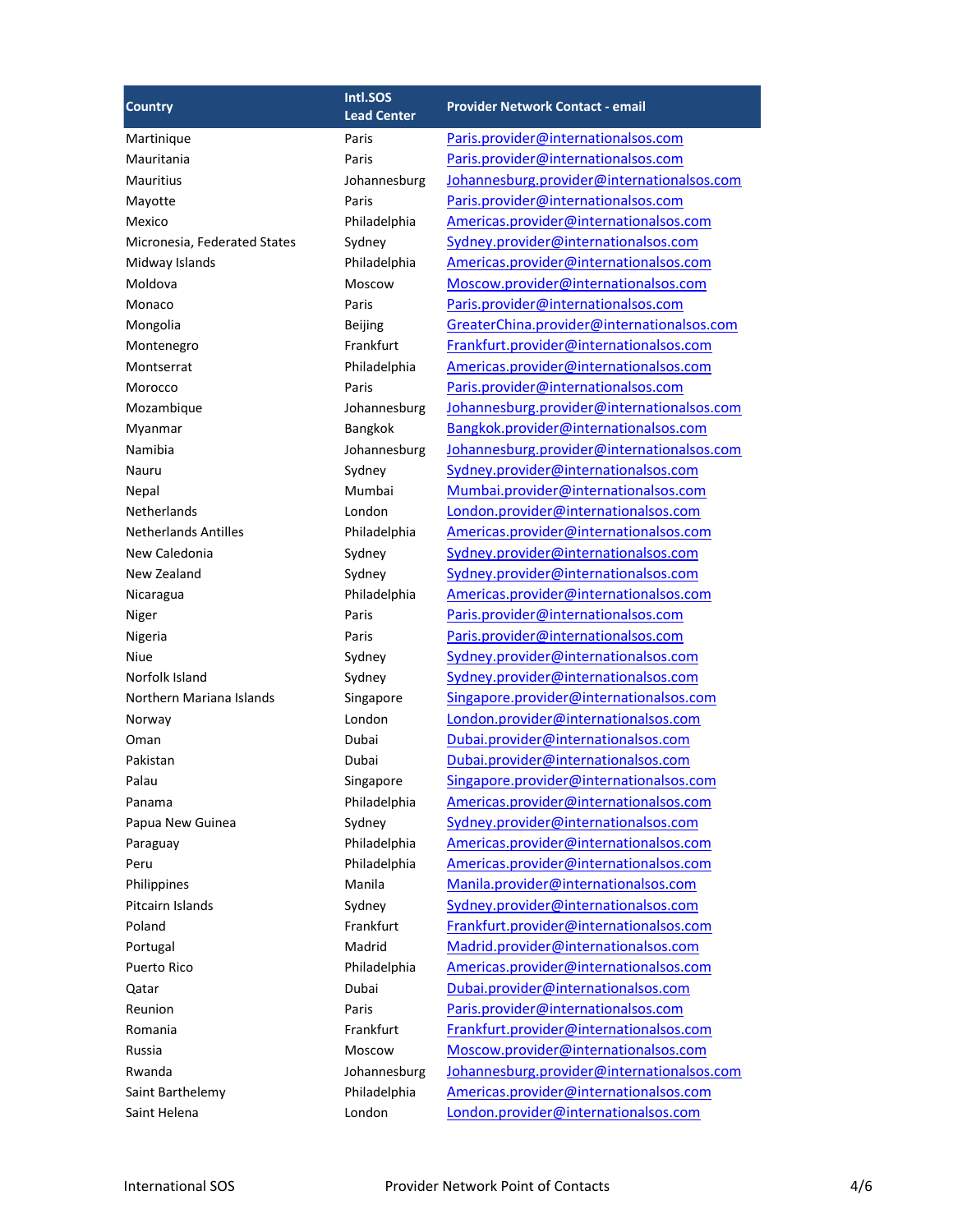| <b>Country</b>               | Intl.SOS<br><b>Lead Center</b> | <b>Provider Network Contact - email</b>    |
|------------------------------|--------------------------------|--------------------------------------------|
| Martinique                   | Paris                          | Paris.provider@internationalsos.com        |
| Mauritania                   | Paris                          | Paris.provider@internationalsos.com        |
| <b>Mauritius</b>             | Johannesburg                   | Johannesburg.provider@internationalsos.com |
| Mayotte                      | Paris                          | Paris.provider@internationalsos.com        |
| Mexico                       | Philadelphia                   | Americas.provider@internationalsos.com     |
| Micronesia, Federated States | Sydney                         | Sydney.provider@internationalsos.com       |
| Midway Islands               | Philadelphia                   | Americas.provider@internationalsos.com     |
| Moldova                      | Moscow                         | Moscow.provider@internationalsos.com       |
| Monaco                       | Paris                          | Paris.provider@internationalsos.com        |
| Mongolia                     | Beijing                        | GreaterChina.provider@internationalsos.com |
| Montenegro                   | Frankfurt                      | Frankfurt.provider@internationalsos.com    |
| Montserrat                   | Philadelphia                   | Americas.provider@internationalsos.com     |
| Morocco                      | Paris                          | Paris.provider@internationalsos.com        |
| Mozambique                   | Johannesburg                   | Johannesburg.provider@internationalsos.com |
| Myanmar                      | Bangkok                        | Bangkok.provider@internationalsos.com      |
| Namibia                      | Johannesburg                   | Johannesburg.provider@internationalsos.com |
| Nauru                        | Sydney                         | Sydney.provider@internationalsos.com       |
| Nepal                        | Mumbai                         | Mumbai.provider@internationalsos.com       |
| Netherlands                  | London                         | London.provider@internationalsos.com       |
| <b>Netherlands Antilles</b>  | Philadelphia                   | Americas.provider@internationalsos.com     |
| New Caledonia                | Sydney                         | Sydney.provider@internationalsos.com       |
| New Zealand                  | Sydney                         | Sydney.provider@internationalsos.com       |
| Nicaragua                    | Philadelphia                   | Americas.provider@internationalsos.com     |
| Niger                        | Paris                          | Paris.provider@internationalsos.com        |
| Nigeria                      | Paris                          | Paris.provider@internationalsos.com        |
| Niue                         | Sydney                         | Sydney.provider@internationalsos.com       |
| Norfolk Island               | Sydney                         | Sydney.provider@internationalsos.com       |
| Northern Mariana Islands     | Singapore                      | Singapore.provider@internationalsos.com    |
| Norway                       | London                         | London.provider@internationalsos.com       |
| Oman                         | Dubai                          | Dubai.provider@internationalsos.com        |
| Pakistan                     | Dubai                          | Dubai.provider@internationalsos.com        |
| Palau                        | Singapore                      | Singapore.provider@internationalsos.com    |
| Panama                       | Philadelphia                   | Americas.provider@internationalsos.com     |
| Papua New Guinea             | Sydney                         | Sydney.provider@internationalsos.com       |
| Paraguay                     | Philadelphia                   | Americas.provider@internationalsos.com     |
| Peru                         | Philadelphia                   | Americas.provider@internationalsos.com     |
| Philippines                  | Manila                         | Manila.provider@internationalsos.com       |
| Pitcairn Islands             | Sydney                         | Sydney.provider@internationalsos.com       |
| Poland                       | Frankfurt                      | Frankfurt.provider@internationalsos.com    |
| Portugal                     | Madrid                         | Madrid.provider@internationalsos.com       |
| Puerto Rico                  | Philadelphia                   | Americas.provider@internationalsos.com     |
| Qatar                        | Dubai                          | Dubai.provider@internationalsos.com        |
| Reunion                      | Paris                          | Paris.provider@internationalsos.com        |
| Romania                      | Frankfurt                      | Frankfurt.provider@internationalsos.com    |
| Russia                       | Moscow                         | Moscow.provider@internationalsos.com       |
| Rwanda                       | Johannesburg                   | Johannesburg.provider@internationalsos.com |
| Saint Barthelemy             | Philadelphia                   | Americas.provider@internationalsos.com     |
| Saint Helena                 | London                         | London.provider@internationalsos.com       |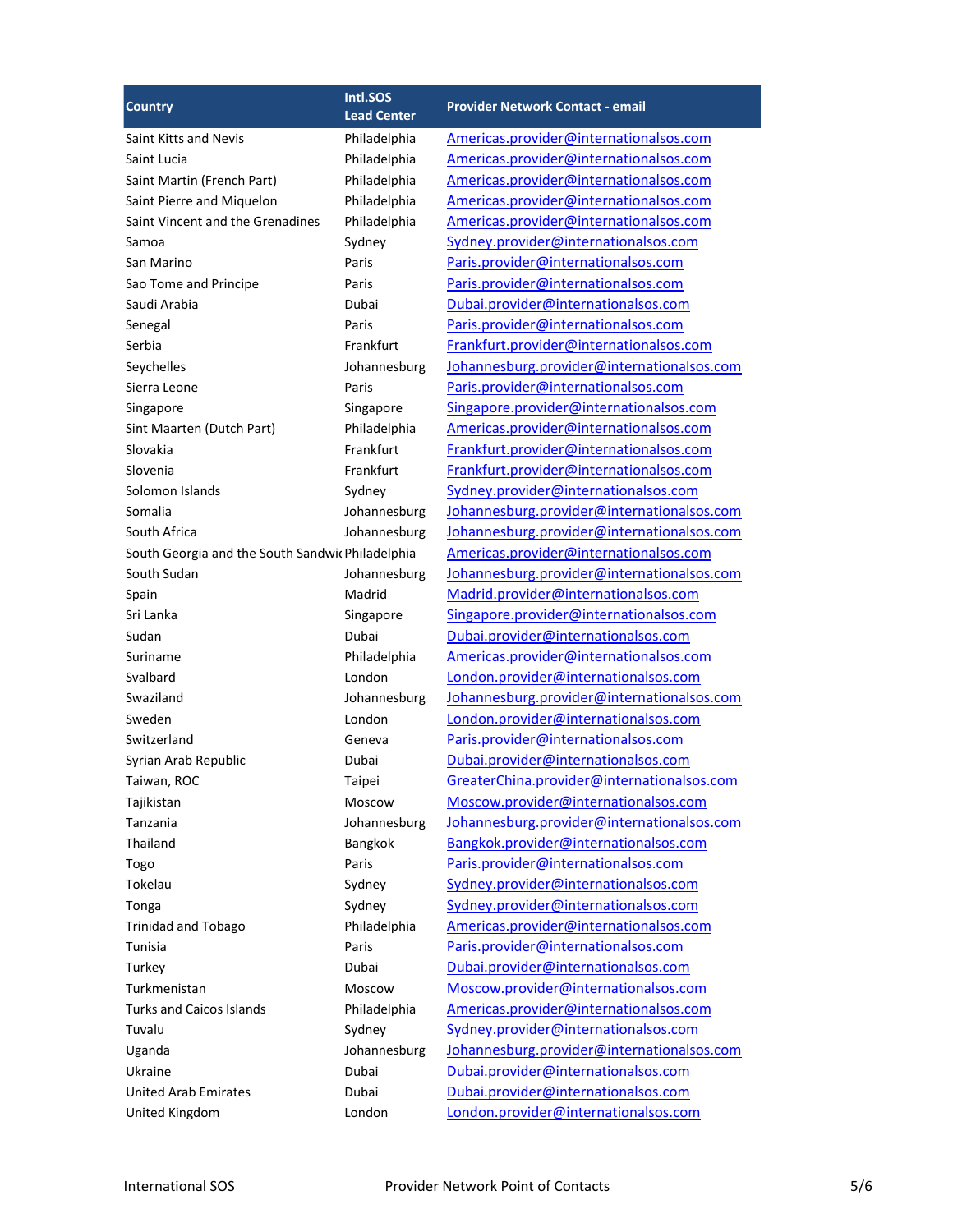|                                                  | Intl.SOS               | <b>Provider Network Contact - email</b>    |
|--------------------------------------------------|------------------------|--------------------------------------------|
| <b>Country</b>                                   | <b>Lead Center</b>     |                                            |
| Saint Kitts and Nevis                            | Philadelphia           | Americas.provider@internationalsos.com     |
| Saint Lucia                                      | Philadelphia           | Americas.provider@internationalsos.com     |
| Saint Martin (French Part)                       | Philadelphia           | Americas.provider@internationalsos.com     |
| Saint Pierre and Miquelon                        | Philadelphia           | Americas.provider@internationalsos.com     |
| Saint Vincent and the Grenadines                 | Philadelphia           | Americas.provider@internationalsos.com     |
| Samoa                                            | Sydney                 | Sydney.provider@internationalsos.com       |
| San Marino                                       | Paris                  | Paris.provider@internationalsos.com        |
| Sao Tome and Principe                            | Paris                  | Paris.provider@internationalsos.com        |
| Saudi Arabia                                     | Dubai                  | Dubai.provider@internationalsos.com        |
| Senegal                                          | Paris                  | Paris.provider@internationalsos.com        |
| Serbia                                           | Frankfurt              | Frankfurt.provider@internationalsos.com    |
| Seychelles                                       | Johannesburg           | Johannesburg.provider@internationalsos.com |
| Sierra Leone                                     | Paris                  | Paris.provider@internationalsos.com        |
| Singapore                                        | Singapore              | Singapore.provider@internationalsos.com    |
| Sint Maarten (Dutch Part)                        | Philadelphia           | Americas.provider@internationalsos.com     |
| Slovakia                                         | Frankfurt              | Frankfurt.provider@internationalsos.com    |
| Slovenia                                         | Frankfurt              | Frankfurt.provider@internationalsos.com    |
| Solomon Islands                                  | Sydney                 | Sydney.provider@internationalsos.com       |
| Somalia                                          | Johannesburg           | Johannesburg.provider@internationalsos.com |
| South Africa                                     | Johannesburg           | Johannesburg.provider@internationalsos.com |
| South Georgia and the South Sandwic Philadelphia |                        | Americas.provider@internationalsos.com     |
| South Sudan                                      |                        | Johannesburg.provider@internationalsos.com |
|                                                  | Johannesburg<br>Madrid |                                            |
| Spain                                            |                        | Madrid.provider@internationalsos.com       |
| Sri Lanka                                        | Singapore              | Singapore.provider@internationalsos.com    |
| Sudan                                            | Dubai                  | Dubai.provider@internationalsos.com        |
| Suriname                                         | Philadelphia           | Americas.provider@internationalsos.com     |
| Svalbard                                         | London                 | London.provider@internationalsos.com       |
| Swaziland                                        | Johannesburg           | Johannesburg.provider@internationalsos.com |
| Sweden                                           | London                 | London.provider@internationalsos.com       |
| Switzerland                                      | Geneva                 | Paris.provider@internationalsos.com        |
| Syrian Arab Republic                             | Dubai                  | Dubai.provider@internationalsos.com        |
| Taiwan, ROC                                      | Taipei                 | GreaterChina.provider@internationalsos.com |
| Tajikistan                                       | Moscow                 | Moscow.provider@internationalsos.com       |
| Tanzania                                         | Johannesburg           | Johannesburg.provider@internationalsos.com |
| Thailand                                         | Bangkok                | Bangkok.provider@internationalsos.com      |
| Togo                                             | Paris                  | Paris.provider@internationalsos.com        |
| Tokelau                                          | Sydney                 | Sydney.provider@internationalsos.com       |
| Tonga                                            | Sydney                 | Sydney.provider@internationalsos.com       |
| Trinidad and Tobago                              | Philadelphia           | Americas.provider@internationalsos.com     |
| Tunisia                                          | Paris                  | Paris.provider@internationalsos.com        |
| Turkey                                           | Dubai                  | Dubai.provider@internationalsos.com        |
| Turkmenistan                                     | Moscow                 | Moscow.provider@internationalsos.com       |
| <b>Turks and Caicos Islands</b>                  | Philadelphia           | Americas.provider@internationalsos.com     |
| Tuvalu                                           | Sydney                 | Sydney.provider@internationalsos.com       |
| Uganda                                           | Johannesburg           | Johannesburg.provider@internationalsos.com |
| Ukraine                                          | Dubai                  | Dubai.provider@internationalsos.com        |
| <b>United Arab Emirates</b>                      | Dubai                  | Dubai.provider@internationalsos.com        |
| United Kingdom                                   | London                 | London.provider@internationalsos.com       |